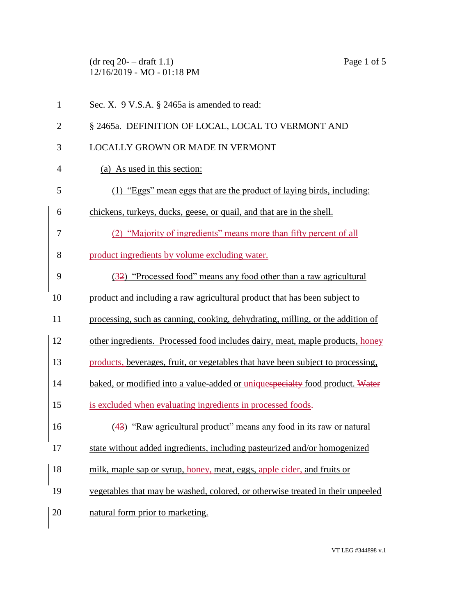$(\text{dr } \text{req } 20 - \text{draff } 1.1)$  Page 1 of 5 12/16/2019 - MO - 01:18 PM

| $\mathbf{1}$   | Sec. X. 9 V.S.A. § 2465a is amended to read:                                    |
|----------------|---------------------------------------------------------------------------------|
| $\overline{2}$ | § 2465a. DEFINITION OF LOCAL, LOCAL TO VERMONT AND                              |
| 3              | <b>LOCALLY GROWN OR MADE IN VERMONT</b>                                         |
| 4              | (a) As used in this section:                                                    |
| 5              | (1) "Eggs" mean eggs that are the product of laying birds, including:           |
| 6              | chickens, turkeys, ducks, geese, or quail, and that are in the shell.           |
| 7              | (2) "Majority of ingredients" means more than fifty percent of all              |
| 8              | product ingredients by volume excluding water.                                  |
| 9              | (32) "Processed food" means any food other than a raw agricultural              |
| 10             | product and including a raw agricultural product that has been subject to       |
| 11             | processing, such as canning, cooking, dehydrating, milling, or the addition of  |
| 12             | other ingredients. Processed food includes dairy, meat, maple products, honey   |
| 13             | products, beverages, fruit, or vegetables that have been subject to processing, |
| 14             | baked, or modified into a value-added or uniquespecialty food product. Water    |
| 15             | is excluded when evaluating ingredients in processed foods.                     |
| 16             | (43) "Raw agricultural product" means any food in its raw or natural            |
| 17             | state without added ingredients, including pasteurized and/or homogenized       |
| 18             | milk, maple sap or syrup, honey, meat, eggs, apple cider, and fruits or         |
| 19             | vegetables that may be washed, colored, or otherwise treated in their unpeeled  |
|                |                                                                                 |

20 natural form prior to marketing.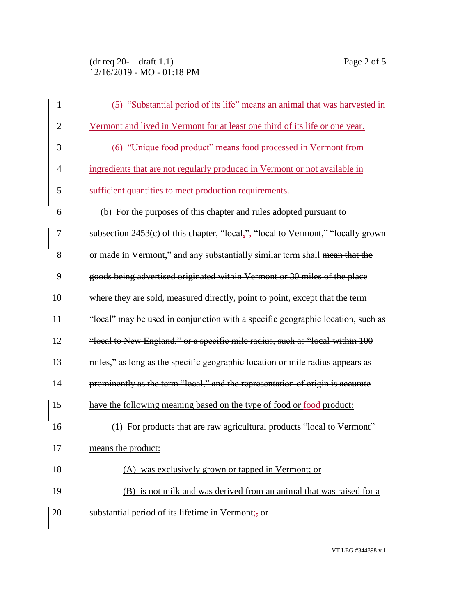$(\text{dr } \text{req } 20 - \text{draff } 1.1)$  Page 2 of 5 12/16/2019 - MO - 01:18 PM

| $\mathbf{1}$   | (5) "Substantial period of its life" means an animal that was harvested in         |
|----------------|------------------------------------------------------------------------------------|
| $\overline{2}$ | Vermont and lived in Vermont for at least one third of its life or one year.       |
| 3              | (6) "Unique food product" means food processed in Vermont from                     |
| 4              | ingredients that are not regularly produced in Vermont or not available in         |
| 5              | sufficient quantities to meet production requirements.                             |
| 6              | (b) For the purposes of this chapter and rules adopted pursuant to                 |
| $\overline{7}$ | subsection $2453(c)$ of this chapter, "local,", "local to Vermont," "locally grown |
| 8              | or made in Vermont," and any substantially similar term shall mean that the        |
| 9              | goods being advertised originated within Vermont or 30 miles of the place          |
| 10             | where they are sold, measured directly, point to point, except that the term       |
| 11             | "local" may be used in conjunction with a specific geographic location, such as    |
| 12             | "local to New England," or a specific mile radius, such as "local-within 100       |
| 13             | miles," as long as the specific geographic location or mile radius appears as      |
| 14             | prominently as the term "local," and the representation of origin is accurate      |
| 15             | have the following meaning based on the type of food or food product:              |
| 16             | (1) For products that are raw agricultural products "local to Vermont"             |
| 17             | means the product:                                                                 |
| 18             | (A) was exclusively grown or tapped in Vermont; or                                 |
| 19             | (B) is not milk and was derived from an animal that was raised for a               |
| 20             | substantial period of its lifetime in Vermont;- or                                 |
|                |                                                                                    |

VT LEG #344898 v.1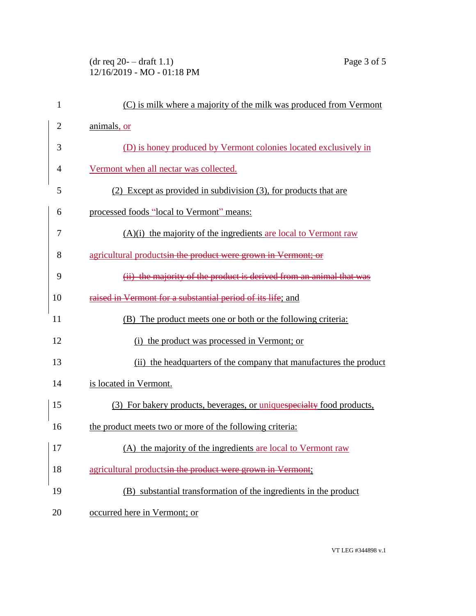$(\text{dr } \text{req } 20 - \text{draff } 1.1)$  Page 3 of 5 12/16/2019 - MO - 01:18 PM

| $\mathbf{1}$   | (C) is milk where a majority of the milk was produced from Vermont    |
|----------------|-----------------------------------------------------------------------|
| $\overline{2}$ | animals, or                                                           |
| 3              | (D) is honey produced by Vermont colonies located exclusively in      |
| 4              | Vermont when all nectar was collected.                                |
| 5              | (2) Except as provided in subdivision (3), for products that are      |
| 6              | processed foods "local to Vermont" means:                             |
| 7              | $(A)(i)$ the majority of the ingredients are local to Vermont raw     |
| 8              | agricultural products in the product were grown in Vermont; or        |
| 9              | (ii) the majority of the product is derived from an animal that was   |
| 10             | raised in Vermont for a substantial period of its life; and           |
| 11             | (B) The product meets one or both or the following criteria:          |
| 12             | (i) the product was processed in Vermont; or                          |
| 13             | (ii) the headquarters of the company that manufactures the product    |
| 14             | is located in Vermont.                                                |
| 15             | (3) For bakery products, beverages, or uniquespecialty food products, |
| 16             | the product meets two or more of the following criteria:              |
| $\vert$ 17     | (A) the majority of the ingredients are local to Vermont raw          |
| 18             | agricultural productsin the product were grown in Vermont;            |
| 19             | (B) substantial transformation of the ingredients in the product      |
| 20             | occurred here in Vermont; or                                          |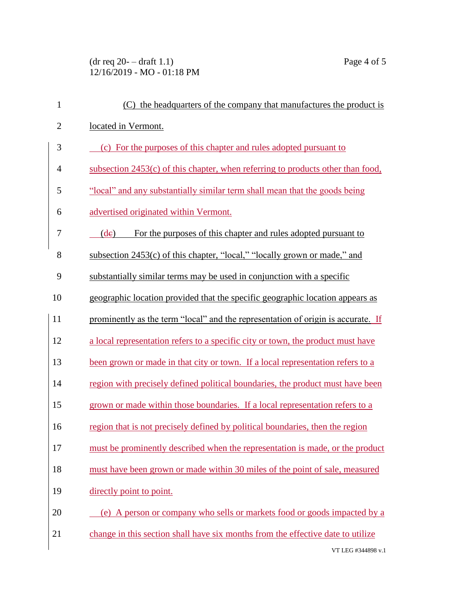$(\text{dr } \text{req } 20 - \text{draff } 1.1)$  Page 4 of 5 12/16/2019 - MO - 01:18 PM

| $\mathbf{1}$   | (C) the headquarters of the company that manufactures the product is              |
|----------------|-----------------------------------------------------------------------------------|
| $\overline{2}$ | located in Vermont.                                                               |
| 3              | (c) For the purposes of this chapter and rules adopted pursuant to                |
| $\overline{4}$ | subsection $2453(c)$ of this chapter, when referring to products other than food, |
| 5              | "local" and any substantially similar term shall mean that the goods being        |
| 6              | advertised originated within Vermont.                                             |
| 7              | For the purposes of this chapter and rules adopted pursuant to<br>(de)            |
| 8              | subsection 2453(c) of this chapter, "local," "locally grown or made," and         |
| 9              | substantially similar terms may be used in conjunction with a specific            |
| 10             | geographic location provided that the specific geographic location appears as     |
| 11             | prominently as the term "local" and the representation of origin is accurate. If  |
| 12             | a local representation refers to a specific city or town, the product must have   |
| 13             | been grown or made in that city or town. If a local representation refers to a    |
| 14             | region with precisely defined political boundaries, the product must have been    |
| 15             | grown or made within those boundaries. If a local representation refers to a      |
| 16             | region that is not precisely defined by political boundaries, then the region     |
| 17             | must be prominently described when the representation is made, or the product     |
| 18             | must have been grown or made within 30 miles of the point of sale, measured       |
| 19             | directly point to point.                                                          |
| 20             | (e) A person or company who sells or markets food or goods impacted by a          |
| 21             | change in this section shall have six months from the effective date to utilize   |
|                | VT LEG #344898 v.1                                                                |